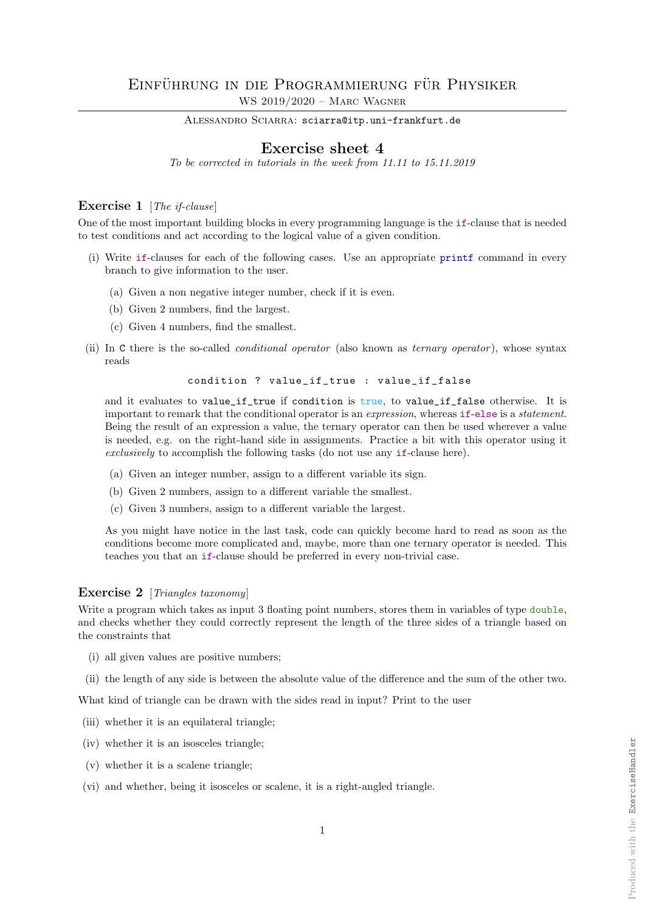ALESSANDRO SCIARRA: sciarra@itp.uni-frankfurt.de

## Exercise sheet 4

To be corrected in tutorials in the week from 11.11 to 15.11.2019

## Exercise 1 [The if-clause]

One of the most important building blocks in every programming language is the if-clause that is needed to test conditions and act according to the logical value of a given condition.

- (i) Write if-clauses for each of the following cases. Use an appropriate printf command in every branch to give information to the user.
	- (a) Given a non negative integer number, check if it is even.
	- (b) Given 2 numbers, find the largest.
	- (c) Given 4 numbers, find the smallest.
- (ii) In C there is the so-called conditional operator (also known as ternary operator ), whose syntax reads

condition ? value\_if\_true : value\_if\_false

and it evaluates to value\_if\_true if condition is true, to value\_if\_false otherwise. It is important to remark that the conditional operator is an expression, whereas if-else is a statement. Being the result of an expression a value, the ternary operator can then be used wherever a value is needed, e.g. on the right-hand side in assignments. Practice a bit with this operator using it exclusively to accomplish the following tasks (do not use any if-clause here).

- (a) Given an integer number, assign to a different variable its sign.
- (b) Given 2 numbers, assign to a different variable the smallest.
- (c) Given 3 numbers, assign to a different variable the largest.

As you might have notice in the last task, code can quickly become hard to read as soon as the conditions become more complicated and, maybe, more than one ternary operator is needed. This teaches you that an if-clause should be preferred in every non-trivial case.

## Exercise 2 [Triangles taxonomy]

Write a program which takes as input 3 floating point numbers, stores them in variables of type double, and checks whether they could correctly represent the length of the three sides of a triangle based on the constraints that

- (i) all given values are positive numbers;
- (ii) the length of any side is between the absolute value of the difference and the sum of the other two.

What kind of triangle can be drawn with the sides read in input? Print to the user

- (iii) whether it is an equilateral triangle;
- (iv) whether it is an isosceles triangle;
- (v) whether it is a scalene triangle;
- (vi) and whether, being it isosceles or scalene, it is a right-angled triangle.